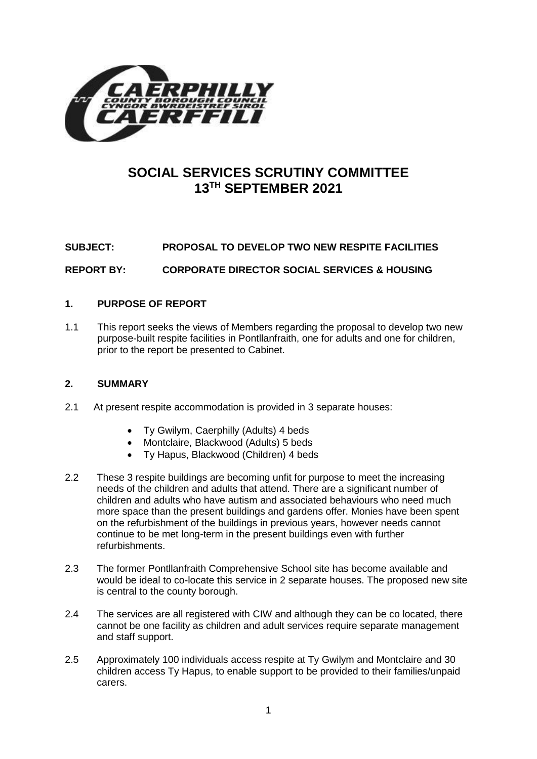

## **SOCIAL SERVICES SCRUTINY COMMITTEE 13TH SEPTEMBER 2021**

# **SUBJECT: PROPOSAL TO DEVELOP TWO NEW RESPITE FACILITIES**

**REPORT BY: CORPORATE DIRECTOR SOCIAL SERVICES & HOUSING**

## **1. PURPOSE OF REPORT**

1.1 This report seeks the views of Members regarding the proposal to develop two new purpose-built respite facilities in Pontllanfraith, one for adults and one for children, prior to the report be presented to Cabinet.

#### **2. SUMMARY**

- 2.1 At present respite accommodation is provided in 3 separate houses:
	- Ty Gwilym, Caerphilly (Adults) 4 beds
	- Montclaire, Blackwood (Adults) 5 beds
	- Ty Hapus, Blackwood (Children) 4 beds
- 2.2 These 3 respite buildings are becoming unfit for purpose to meet the increasing needs of the children and adults that attend. There are a significant number of children and adults who have autism and associated behaviours who need much more space than the present buildings and gardens offer. Monies have been spent on the refurbishment of the buildings in previous years, however needs cannot continue to be met long-term in the present buildings even with further refurbishments.
- 2.3 The former Pontllanfraith Comprehensive School site has become available and would be ideal to co-locate this service in 2 separate houses. The proposed new site is central to the county borough.
- 2.4 The services are all registered with CIW and although they can be co located, there cannot be one facility as children and adult services require separate management and staff support.
- 2.5 Approximately 100 individuals access respite at Ty Gwilym and Montclaire and 30 children access Ty Hapus, to enable support to be provided to their families/unpaid carers.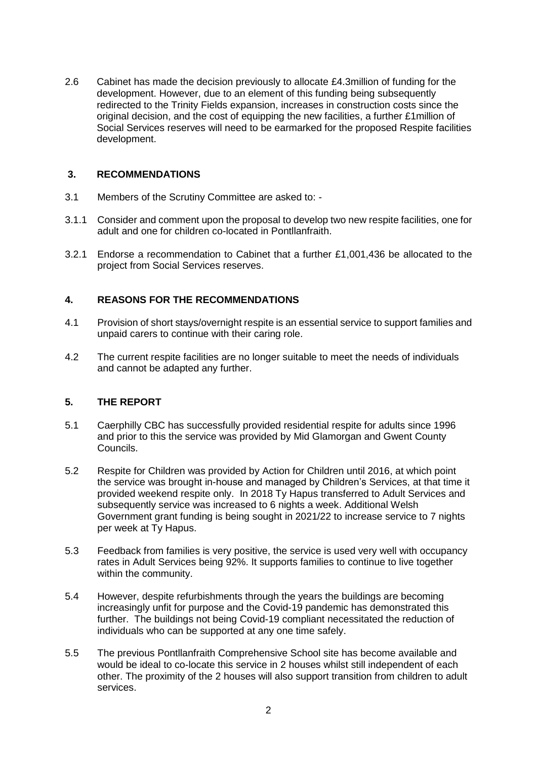2.6 Cabinet has made the decision previously to allocate £4.3million of funding for the development. However, due to an element of this funding being subsequently redirected to the Trinity Fields expansion, increases in construction costs since the original decision, and the cost of equipping the new facilities, a further £1million of Social Services reserves will need to be earmarked for the proposed Respite facilities development.

#### **3. RECOMMENDATIONS**

- 3.1 Members of the Scrutiny Committee are asked to: -
- 3.1.1 Consider and comment upon the proposal to develop two new respite facilities, one for adult and one for children co-located in Pontllanfraith.
- 3.2.1 Endorse a recommendation to Cabinet that a further £1,001,436 be allocated to the project from Social Services reserves.

## **4. REASONS FOR THE RECOMMENDATIONS**

- 4.1 Provision of short stays/overnight respite is an essential service to support families and unpaid carers to continue with their caring role.
- 4.2 The current respite facilities are no longer suitable to meet the needs of individuals and cannot be adapted any further.

#### **5. THE REPORT**

- 5.1 Caerphilly CBC has successfully provided residential respite for adults since 1996 and prior to this the service was provided by Mid Glamorgan and Gwent County Councils.
- 5.2 Respite for Children was provided by Action for Children until 2016, at which point the service was brought in-house and managed by Children's Services, at that time it provided weekend respite only. In 2018 Ty Hapus transferred to Adult Services and subsequently service was increased to 6 nights a week. Additional Welsh Government grant funding is being sought in 2021/22 to increase service to 7 nights per week at Ty Hapus.
- 5.3 Feedback from families is very positive, the service is used very well with occupancy rates in Adult Services being 92%. It supports families to continue to live together within the community.
- 5.4 However, despite refurbishments through the years the buildings are becoming increasingly unfit for purpose and the Covid-19 pandemic has demonstrated this further. The buildings not being Covid-19 compliant necessitated the reduction of individuals who can be supported at any one time safely.
- 5.5 The previous Pontllanfraith Comprehensive School site has become available and would be ideal to co-locate this service in 2 houses whilst still independent of each other. The proximity of the 2 houses will also support transition from children to adult services.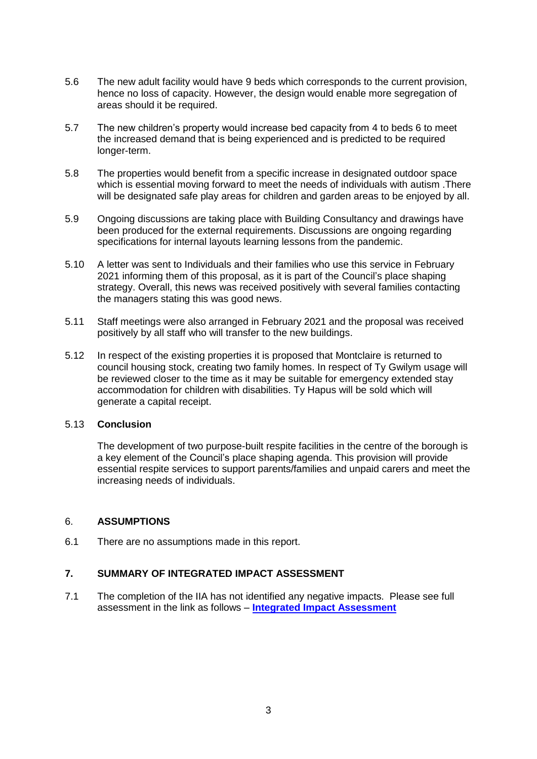- 5.6 The new adult facility would have 9 beds which corresponds to the current provision, hence no loss of capacity. However, the design would enable more segregation of areas should it be required.
- 5.7 The new children's property would increase bed capacity from 4 to beds 6 to meet the increased demand that is being experienced and is predicted to be required longer-term.
- 5.8 The properties would benefit from a specific increase in designated outdoor space which is essential moving forward to meet the needs of individuals with autism .There will be designated safe play areas for children and garden areas to be enjoyed by all.
- 5.9 Ongoing discussions are taking place with Building Consultancy and drawings have been produced for the external requirements. Discussions are ongoing regarding specifications for internal layouts learning lessons from the pandemic.
- 5.10 A letter was sent to Individuals and their families who use this service in February 2021 informing them of this proposal, as it is part of the Council's place shaping strategy. Overall, this news was received positively with several families contacting the managers stating this was good news.
- 5.11 Staff meetings were also arranged in February 2021 and the proposal was received positively by all staff who will transfer to the new buildings.
- 5.12 In respect of the existing properties it is proposed that Montclaire is returned to council housing stock, creating two family homes. In respect of Ty Gwilym usage will be reviewed closer to the time as it may be suitable for emergency extended stay accommodation for children with disabilities. Ty Hapus will be sold which will generate a capital receipt.

#### 5.13 **Conclusion**

The development of two purpose-built respite facilities in the centre of the borough is a key element of the Council's place shaping agenda. This provision will provide essential respite services to support parents/families and unpaid carers and meet the increasing needs of individuals.

#### 6. **ASSUMPTIONS**

6.1 There are no assumptions made in this report.

#### **7. SUMMARY OF INTEGRATED IMPACT ASSESSMENT**

7.1 The completion of the IIA has not identified any negative impacts. Please see full assessment in the link as follows – **[Integrated Impact Assessment](https://www.caerphilly.gov.uk/CaerphillyDocs/IIA/IIA_Respite_Care_August2021)**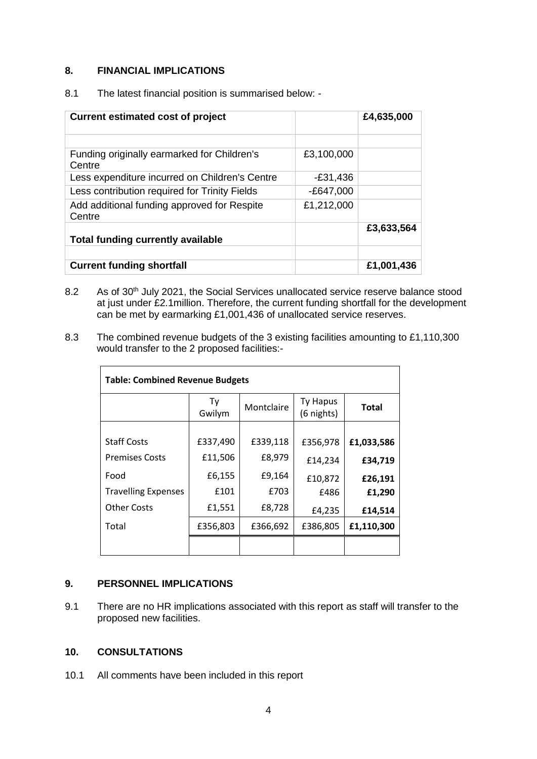## **8. FINANCIAL IMPLICATIONS**

| <b>Current estimated cost of project</b>              |             | £4,635,000 |
|-------------------------------------------------------|-------------|------------|
|                                                       |             |            |
| Funding originally earmarked for Children's<br>Centre | £3,100,000  |            |
| Less expenditure incurred on Children's Centre        | $-£31,436$  |            |
| Less contribution required for Trinity Fields         | $-£647,000$ |            |
| Add additional funding approved for Respite<br>Centre | £1,212,000  |            |
| <b>Total funding currently available</b>              |             | £3,633,564 |
|                                                       |             |            |
| <b>Current funding shortfall</b>                      |             | £1,001,436 |

8.1 The latest financial position is summarised below: -

- 8.2 As of 30<sup>th</sup> July 2021, the Social Services unallocated service reserve balance stood at just under £2.1million. Therefore, the current funding shortfall for the development can be met by earmarking £1,001,436 of unallocated service reserves.
- 8.3 The combined revenue budgets of the 3 existing facilities amounting to £1,110,300 would transfer to the 2 proposed facilities:-

| <b>Table: Combined Revenue Budgets</b> |              |            |                               |              |  |
|----------------------------------------|--------------|------------|-------------------------------|--------------|--|
|                                        | Ty<br>Gwilym | Montclaire | <b>Ty Hapus</b><br>(6 nights) | <b>Total</b> |  |
|                                        |              |            |                               |              |  |
| <b>Staff Costs</b>                     | £337,490     | £339,118   | £356,978                      | £1,033,586   |  |
| <b>Premises Costs</b>                  | £11,506      | £8,979     | £14,234                       | £34,719      |  |
| Food                                   | £6,155       | £9,164     | £10,872                       | £26,191      |  |
| <b>Travelling Expenses</b>             | £101         | £703       | £486                          | £1,290       |  |
| <b>Other Costs</b>                     | £1,551       | £8,728     | £4,235                        | £14,514      |  |
| Total                                  | £356,803     | £366,692   | £386,805                      | £1,110,300   |  |
|                                        |              |            |                               |              |  |

#### **9. PERSONNEL IMPLICATIONS**

9.1 There are no HR implications associated with this report as staff will transfer to the proposed new facilities.

#### **10. CONSULTATIONS**

10.1 All comments have been included in this report